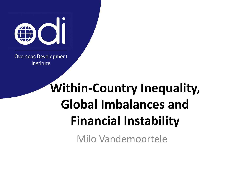

**Overseas Development** Institute

# **Within-Country Inequality, Global Imbalances and Financial Instability**

Milo Vandemoortele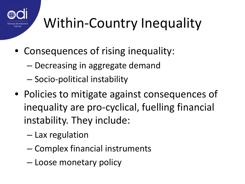

# Within-Country Inequality

- Consequences of rising inequality:
	- Decreasing in aggregate demand
	- Socio-political instability
- Policies to mitigate against consequences of inequality are pro-cyclical, fuelling financial instability. They include:
	- Lax regulation
	- Complex financial instruments
	- Loose monetary policy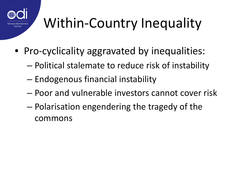

# Within-Country Inequality

- Pro-cyclicality aggravated by inequalities:
	- Political stalemate to reduce risk of instability
	- Endogenous financial instability
	- Poor and vulnerable investors cannot cover risk
	- Polarisation engendering the tragedy of the commons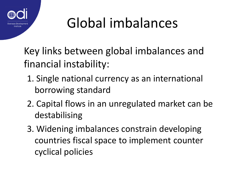

### Global imbalances

Key links between global imbalances and financial instability:

- 1. Single national currency as an international borrowing standard
- 2. Capital flows in an unregulated market can be destabilising
- 3. Widening imbalances constrain developing countries fiscal space to implement counter cyclical policies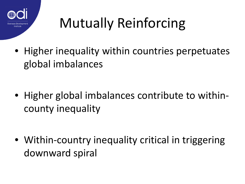

# Mutually Reinforcing

• Higher inequality within countries perpetuates global imbalances

• Higher global imbalances contribute to withincounty inequality

• Within-country inequality critical in triggering downward spiral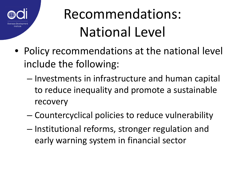

#### Recommendations: National Level

- Policy recommendations at the national level include the following:
	- Investments in infrastructure and human capital to reduce inequality and promote a sustainable recovery
	- Countercyclical policies to reduce vulnerability
	- Institutional reforms, stronger regulation and early warning system in financial sector